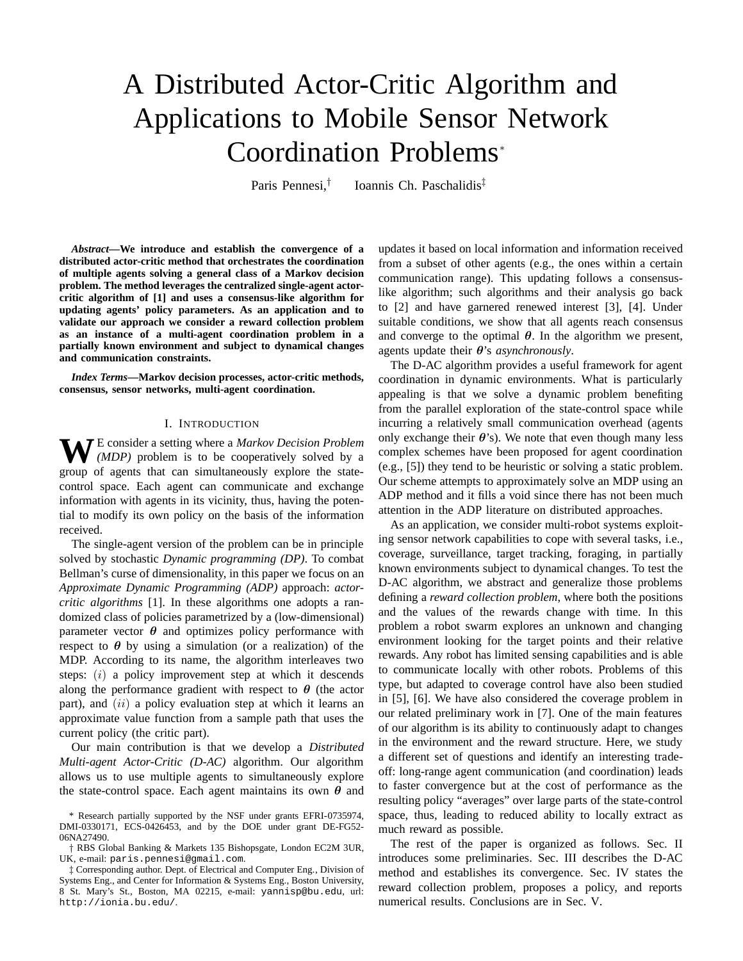# A Distributed Actor-Critic Algorithm and Applications to Mobile Sensor Network Coordination Problems<sup>∗</sup>

Paris Pennesi,† Ioannis Ch. Paschalidis‡

*Abstract***—We introduce and establish the convergence of a distributed actor-critic method that orchestrates the coordination of multiple agents solving a general class of a Markov decision problem. The method leverages the centralized single-agent actorcritic algorithm of [1] and uses a consensus-like algorithm for updating agents' policy parameters. As an application and to validate our approach we consider a reward collection problem as an instance of a multi-agent coordination problem in a partially known environment and subject to dynamical changes and communication constraints.**

*Index Terms***—Markov decision processes, actor-critic methods, consensus, sensor networks, multi-agent coordination.**

## I. INTRODUCTION

**W**E consider a setting where a *Markov Decision Problem (MDP)* problem is to be cooperatively solved by a group of agents that can simultaneously explore the statecontrol space. Each agent can communicate and exchange information with agents in its vicinity, thus, having the potential to modify its own policy on the basis of the information received.

The single-agent version of the problem can be in principle solved by stochastic *Dynamic programming (DP)*. To combat Bellman's curse of dimensionality, in this paper we focus on an *Approximate Dynamic Programming (ADP)* approach: *actorcritic algorithms* [1]. In these algorithms one adopts a randomized class of policies parametrized by a (low-dimensional) parameter vector  $\theta$  and optimizes policy performance with respect to  $\theta$  by using a simulation (or a realization) of the MDP. According to its name, the algorithm interleaves two steps:  $(i)$  a policy improvement step at which it descends along the performance gradient with respect to  $\theta$  (the actor part), and  $(ii)$  a policy evaluation step at which it learns an approximate value function from a sample path that uses the current policy (the critic part).

Our main contribution is that we develop a *Distributed Multi-agent Actor-Critic (D-AC)* algorithm. Our algorithm allows us to use multiple agents to simultaneously explore the state-control space. Each agent maintains its own  $\theta$  and updates it based on local information and information received from a subset of other agents (e.g., the ones within a certain communication range). This updating follows a consensuslike algorithm; such algorithms and their analysis go back to [2] and have garnered renewed interest [3], [4]. Under suitable conditions, we show that all agents reach consensus and converge to the optimal  $\theta$ . In the algorithm we present, agents update their θ's *asynchronously*.

The D-AC algorithm provides a useful framework for agent coordination in dynamic environments. What is particularly appealing is that we solve a dynamic problem benefiting from the parallel exploration of the state-control space while incurring a relatively small communication overhead (agents only exchange their  $\theta$ 's). We note that even though many less complex schemes have been proposed for agent coordination (e.g., [5]) they tend to be heuristic or solving a static problem. Our scheme attempts to approximately solve an MDP using an ADP method and it fills a void since there has not been much attention in the ADP literature on distributed approaches.

As an application, we consider multi-robot systems exploiting sensor network capabilities to cope with several tasks, i.e., coverage, surveillance, target tracking, foraging, in partially known environments subject to dynamical changes. To test the D-AC algorithm, we abstract and generalize those problems defining a *reward collection problem*, where both the positions and the values of the rewards change with time. In this problem a robot swarm explores an unknown and changing environment looking for the target points and their relative rewards. Any robot has limited sensing capabilities and is able to communicate locally with other robots. Problems of this type, but adapted to coverage control have also been studied in [5], [6]. We have also considered the coverage problem in our related preliminary work in [7]. One of the main features of our algorithm is its ability to continuously adapt to changes in the environment and the reward structure. Here, we study a different set of questions and identify an interesting tradeoff: long-range agent communication (and coordination) leads to faster convergence but at the cost of performance as the resulting policy "averages" over large parts of the state-control space, thus, leading to reduced ability to locally extract as much reward as possible.

The rest of the paper is organized as follows. Sec. II introduces some preliminaries. Sec. III describes the D-AC method and establishes its convergence. Sec. IV states the reward collection problem, proposes a policy, and reports numerical results. Conclusions are in Sec. V.

<sup>\*</sup> Research partially supported by the NSF under grants EFRI-0735974, DMI-0330171, ECS-0426453, and by the DOE under grant DE-FG52- 06NA27490.

<sup>†</sup> RBS Global Banking & Markets 135 Bishopsgate, London EC2M 3UR, UK, e-mail: paris.pennesi@gmail.com.

<sup>‡</sup> Corresponding author. Dept. of Electrical and Computer Eng., Division of Systems Eng., and Center for Information & Systems Eng., Boston University, 8 St. Mary's St., Boston, MA 02215, e-mail: yannisp@bu.edu, url: http://ionia.bu.edu/.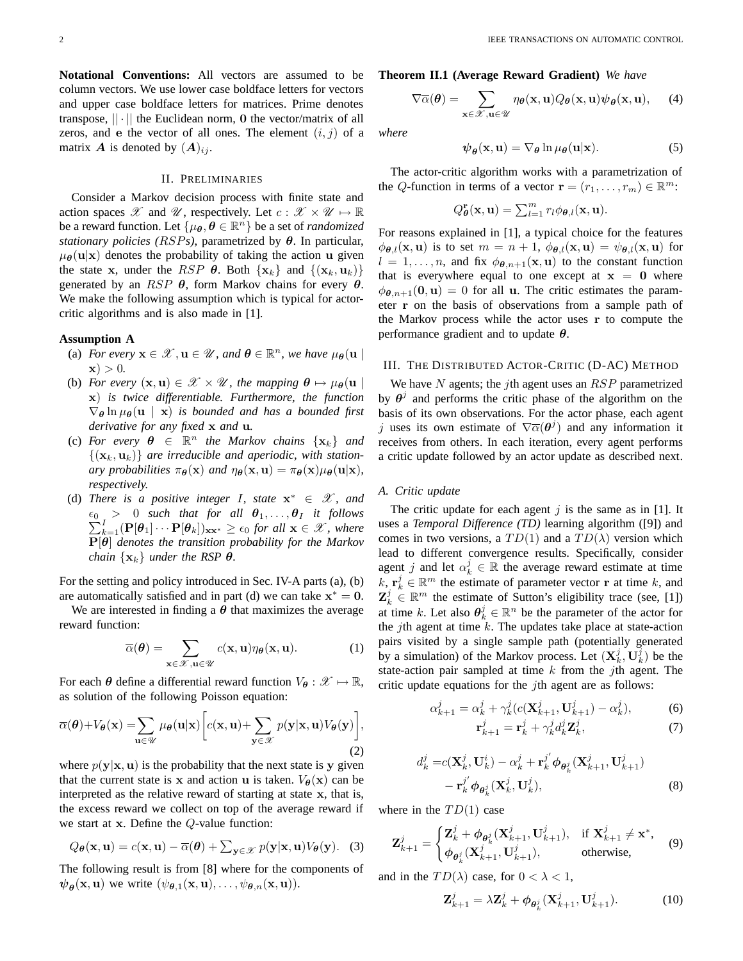**Notational Conventions:** All vectors are assumed to be column vectors. We use lower case boldface letters for vectors and upper case boldface letters for matrices. Prime denotes transpose,  $|| \cdot ||$  the Euclidean norm, 0 the vector/matrix of all zeros, and e the vector of all ones. The element  $(i, j)$  of a matrix A is denoted by  $(A)_{ii}$ .

### II. PRELIMINARIES

Consider a Markov decision process with finite state and action spaces  $\mathscr X$  and  $\mathscr U$ , respectively. Let  $c : \mathscr X \times \mathscr U \mapsto \mathbb R$ be a reward function. Let  $\{\mu_{\theta}, \theta \in \mathbb{R}^n\}$  be a set of *randomized stationary policies (RSPs)*, parametrized by  $\theta$ . In particular,  $\mu_{\theta}(\mathbf{u}|\mathbf{x})$  denotes the probability of taking the action u given the state x, under the RSP  $\theta$ . Both  $\{x_k\}$  and  $\{(x_k, u_k)\}$ generated by an RSP  $\theta$ , form Markov chains for every  $\theta$ . We make the following assumption which is typical for actorcritic algorithms and is also made in [1].

## **Assumption A**

- (a) *For every*  $\mathbf{x} \in \mathcal{X}, \mathbf{u} \in \mathcal{U}$ *, and*  $\boldsymbol{\theta} \in \mathbb{R}^n$ *, we have*  $\mu_{\boldsymbol{\theta}}(\mathbf{u} \mid \mathbf{u})$  $x) > 0.$
- (b) *For every*  $(x, u) \in \mathcal{X} \times \mathcal{U}$ , the mapping  $\theta \mapsto \mu_{\theta}(u)$ x) *is twice differentiable. Furthermore, the function*  $\nabla_{\theta}$  ln  $\mu_{\theta}$ (**u** | **x**) *is bounded and has a bounded first derivative for any fixed* x *and* u*.*
- (c) For every  $\theta \in \mathbb{R}^n$  the Markov chains  $\{x_k\}$  and  $\{(\mathbf{x}_k, \mathbf{u}_k)\}\$ are irreducible and aperiodic, with station*ary probabilities*  $\pi_{\theta}(\mathbf{x})$  *and*  $\eta_{\theta}(\mathbf{x}, \mathbf{u}) = \pi_{\theta}(\mathbf{x})\mu_{\theta}(\mathbf{u}|\mathbf{x})$ *, respectively.*
- (d) *There is a positive integer I, state*  $\mathbf{x}^* \in \mathcal{X}$ *, and*  $\epsilon_0 > 0$  such that for all  $\theta_1, \ldots, \theta_I$  it follows  $\sum_{k=1}^I (\mathbf{P}[\theta_1] \cdots \mathbf{P}[\theta_k])_{\mathbf{x}\mathbf{x}^*} \geq \epsilon_0$  for all  $\mathbf{x} \in \mathscr{X}$ , where  $P[\theta]$  *denotes the transition probability for the Markov chain*  $\{x_k\}$  *under the RSP*  $\theta$ *.*

For the setting and policy introduced in Sec. IV-A parts (a), (b) are automatically satisfied and in part (d) we can take  $x^* = 0$ .

We are interested in finding a  $\theta$  that maximizes the average reward function:

$$
\overline{\alpha}(\boldsymbol{\theta}) = \sum_{\mathbf{x} \in \mathcal{X}, \mathbf{u} \in \mathcal{U}} c(\mathbf{x}, \mathbf{u}) \eta_{\boldsymbol{\theta}}(\mathbf{x}, \mathbf{u}). \tag{1}
$$

For each  $\theta$  define a differential reward function  $V_{\theta}: \mathscr{X} \mapsto \mathbb{R}$ , as solution of the following Poisson equation:

 $\mathbf{r}$ 

$$
\overline{\alpha}(\boldsymbol{\theta}) + V_{\boldsymbol{\theta}}(\mathbf{x}) = \sum_{\mathbf{u} \in \mathcal{U}} \mu_{\boldsymbol{\theta}}(\mathbf{u}|\mathbf{x}) \left[ c(\mathbf{x}, \mathbf{u}) + \sum_{\mathbf{y} \in \mathcal{X}} p(\mathbf{y}|\mathbf{x}, \mathbf{u}) V_{\boldsymbol{\theta}}(\mathbf{y}) \right],
$$
\n(2)

where  $p(y|x, u)$  is the probability that the next state is y given that the current state is x and action u is taken.  $V_{\theta}(\mathbf{x})$  can be interpreted as the relative reward of starting at state x, that is, the excess reward we collect on top of the average reward if we start at x. Define the Q-value function:

$$
Q_{\theta}(\mathbf{x}, \mathbf{u}) = c(\mathbf{x}, \mathbf{u}) - \overline{\alpha}(\theta) + \sum_{\mathbf{y} \in \mathcal{X}} p(\mathbf{y}|\mathbf{x}, \mathbf{u}) V_{\theta}(\mathbf{y}). \tag{3}
$$

The following result is from [8] where for the components of  $\psi_{\theta}(\mathbf{x}, \mathbf{u})$  we write  $(\psi_{\theta,1}(\mathbf{x}, \mathbf{u}), \dots, \psi_{\theta,n}(\mathbf{x}, \mathbf{u})).$ 

#### **Theorem II.1 (Average Reward Gradient)** *We have*

$$
\nabla \overline{\alpha}(\boldsymbol{\theta}) = \sum_{\mathbf{x} \in \mathcal{X}, \mathbf{u} \in \mathcal{U}} \eta_{\boldsymbol{\theta}}(\mathbf{x}, \mathbf{u}) Q_{\boldsymbol{\theta}}(\mathbf{x}, \mathbf{u}) \psi_{\boldsymbol{\theta}}(\mathbf{x}, \mathbf{u}), \qquad (4)
$$

*where*

$$
\psi_{\theta}(\mathbf{x}, \mathbf{u}) = \nabla_{\theta} \ln \mu_{\theta}(\mathbf{u}|\mathbf{x}). \tag{5}
$$

The actor-critic algorithm works with a parametrization of the Q-function in terms of a vector  $\mathbf{r} = (r_1, \dots, r_m) \in \mathbb{R}^m$ :

$$
Q_{\boldsymbol{\theta}}^{\mathbf{r}}(\mathbf{x}, \mathbf{u}) = \sum_{l=1}^{m} r_l \phi_{\boldsymbol{\theta},l}(\mathbf{x}, \mathbf{u}).
$$

For reasons explained in [1], a typical choice for the features  $\phi_{\theta,l}(\mathbf{x}, \mathbf{u})$  is to set  $m = n + 1$ ,  $\phi_{\theta,l}(\mathbf{x}, \mathbf{u}) = \psi_{\theta,l}(\mathbf{x}, \mathbf{u})$  for  $l = 1, \ldots, n$ , and fix  $\phi_{\theta, n+1}(\mathbf{x}, \mathbf{u})$  to the constant function that is everywhere equal to one except at  $x = 0$  where  $\phi_{\theta,n+1}(\mathbf{0}, \mathbf{u}) = 0$  for all u. The critic estimates the parameter r on the basis of observations from a sample path of the Markov process while the actor uses r to compute the performance gradient and to update  $\theta$ .

## III. THE DISTRIBUTED ACTOR-CRITIC (D-AC) METHOD

We have N agents; the *j*th agent uses an  $RSP$  parametrized by  $\theta^j$  and performs the critic phase of the algorithm on the basis of its own observations. For the actor phase, each agent j uses its own estimate of  $\nabla \overline{\alpha}(\theta^j)$  and any information it receives from others. In each iteration, every agent performs a critic update followed by an actor update as described next.

# *A. Critic update*

The critic update for each agent  $j$  is the same as in [1]. It uses a *Temporal Difference (TD)* learning algorithm ([9]) and comes in two versions, a  $TD(1)$  and a  $TD(\lambda)$  version which lead to different convergence results. Specifically, consider agent j and let  $\alpha_k^j \in \mathbb{R}$  the average reward estimate at time  $k, \mathbf{r}_k^j \in \mathbb{R}^m$  the estimate of parameter vector **r** at time k, and  $\mathbf{Z}_{k}^{j} \in \mathbb{R}^{m}$  the estimate of Sutton's eligibility trace (see, [1]) at time k. Let also  $\theta_k^j \in \mathbb{R}^n$  be the parameter of the actor for the *j*th agent at time  $k$ . The updates take place at state-action pairs visited by a single sample path (potentially generated by a simulation) of the Markov process. Let  $(X_k^j, \mathbf{U}_k^j)$  be the state-action pair sampled at time  $k$  from the jth agent. The critic update equations for the jth agent are as follows:

$$
\alpha_{k+1}^j = \alpha_k^j + \gamma_k^j (c(\mathbf{X}_{k+1}^j, \mathbf{U}_{k+1}^j) - \alpha_k^j),
$$
 (6)

$$
\mathbf{r}_{k+1}^j = \mathbf{r}_k^j + \gamma_k^j d_k^j \mathbf{Z}_k^j,\tag{7}
$$

$$
d_k^j = c(\mathbf{X}_k^j, \mathbf{U}_k^i) - \alpha_k^j + \mathbf{r}_k^{j'} \boldsymbol{\phi}_{\boldsymbol{\theta}_k^j}(\mathbf{X}_{k+1}^j, \mathbf{U}_{k+1}^j) - \mathbf{r}_k^{j'} \boldsymbol{\phi}_{\boldsymbol{\theta}_k^j}(\mathbf{X}_k^j, \mathbf{U}_k^j),
$$
(8)

where in the  $TD(1)$  case

 $\overline{1}$ 

$$
\mathbf{Z}_{k+1}^j = \begin{cases} \mathbf{Z}_k^j + \boldsymbol{\phi}_{\boldsymbol{\theta}_k^j}(\mathbf{X}_{k+1}^j, \mathbf{U}_{k+1}^j), & \text{if } \mathbf{X}_{k+1}^j \neq \mathbf{x}^*, \\ \boldsymbol{\phi}_{\boldsymbol{\theta}_k^j}(\mathbf{X}_{k+1}^j, \mathbf{U}_{k+1}^j), & \text{otherwise,} \end{cases}
$$
(9)

and in the  $TD(\lambda)$  case, for  $0 < \lambda < 1$ ,

$$
\mathbf{Z}_{k+1}^j = \lambda \mathbf{Z}_k^j + \phi_{\boldsymbol{\theta}_k^j} (\mathbf{X}_{k+1}^j, \mathbf{U}_{k+1}^j). \tag{10}
$$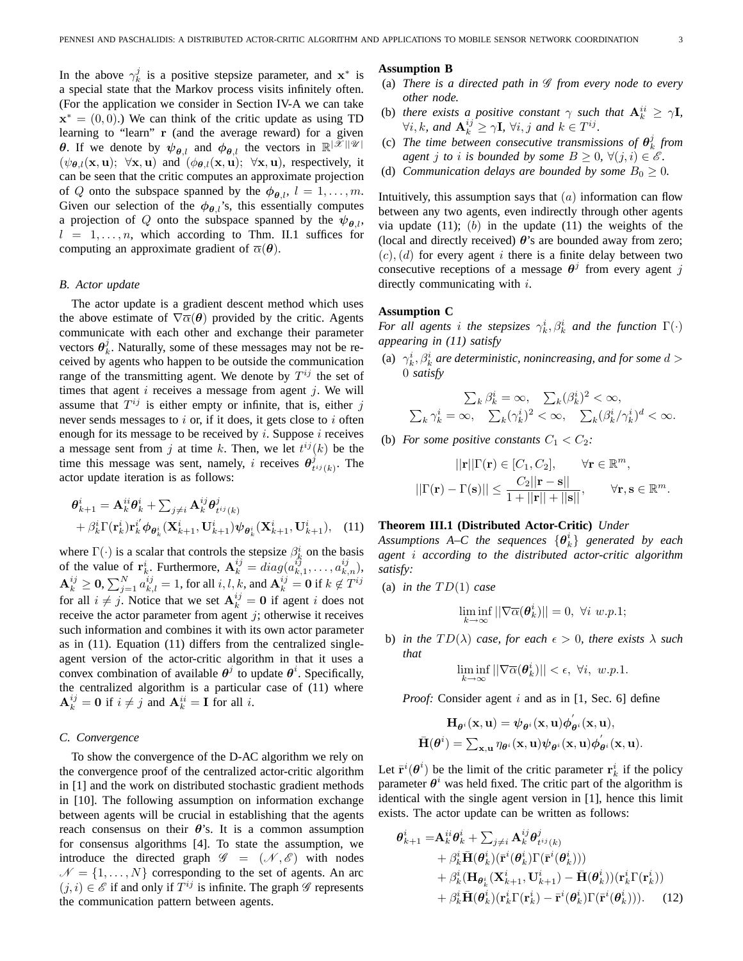In the above  $\gamma_k^j$  is a positive stepsize parameter, and  $\mathbf{x}^*$  is a special state that the Markov process visits infinitely often. (For the application we consider in Section IV-A we can take  $x^* = (0, 0)$ .) We can think of the critic update as using TD learning to "learn" r (and the average reward) for a given θ. If we denote by  $\psi_{\theta, l}$  and  $\phi_{\theta, l}$  the vectors in  $\mathbb{R}^{|\mathscr{X}||\mathscr{U}|}$  $(\psi_{\theta,l}(\mathbf{x}, \mathbf{u}); \forall \mathbf{x}, \mathbf{u})$  and  $(\phi_{\theta,l}(\mathbf{x}, \mathbf{u}); \forall \mathbf{x}, \mathbf{u})$ , respectively, it can be seen that the critic computes an approximate projection of Q onto the subspace spanned by the  $\phi_{\theta, l}$ ,  $l = 1, \ldots, m$ . Given our selection of the  $\phi_{\theta,l}$ 's, this essentially computes a projection of Q onto the subspace spanned by the  $\psi_{\theta, l}$ ,  $l = 1, \ldots, n$ , which according to Thm. II.1 suffices for computing an approximate gradient of  $\overline{\alpha}(\theta)$ .

#### *B. Actor update*

The actor update is a gradient descent method which uses the above estimate of  $\nabla \overline{\alpha}(\theta)$  provided by the critic. Agents communicate with each other and exchange their parameter vectors  $\theta_k^j$ . Naturally, some of these messages may not be received by agents who happen to be outside the communication range of the transmitting agent. We denote by  $T^{ij}$  the set of times that agent  $i$  receives a message from agent  $j$ . We will assume that  $T^{ij}$  is either empty or infinite, that is, either j never sends messages to  $i$  or, if it does, it gets close to  $i$  often enough for its message to be received by  $i$ . Suppose  $i$  receives a message sent from j at time k. Then, we let  $t^{ij}(k)$  be the time this message was sent, namely, i receives  $\theta_t^j$  $_{t^{ij}(k)}^j$ . The actor update iteration is as follows:

$$
\theta_{k+1}^i = \mathbf{A}_k^{ii} \theta_k^i + \sum_{j \neq i} \mathbf{A}_k^{ij} \theta_{t^{ij}(k)}^j
$$
  
+  $\beta_k^i \Gamma(\mathbf{r}_k^i) \mathbf{r}_k^{i'} \phi_{\theta_k^i} (\mathbf{X}_{k+1}^i, \mathbf{U}_{k+1}^i) \psi_{\theta_k^i} (\mathbf{X}_{k+1}^i, \mathbf{U}_{k+1}^i),$  (11)

where  $\Gamma(\cdot)$  is a scalar that controls the stepsize  $\beta_k^i$  on the basis of the value of  $\mathbf{r}_k^i$ . Furthermore,  $\mathbf{A}_k^{ij} = diag(a_{k,1}^{ij}, \dots, a_{k,n}^{ij}),$  $\mathbf{A}^{ij}_k \geq \mathbf{0}, \sum_{j=1}^N a^{ij}_{k,l} = 1,$  for all  $i, l, k,$  and  $\mathbf{A}^{ij}_k = \mathbf{0}$  if  $k \not\in T^{ij}$ for all  $i \neq j$ . Notice that we set  $A_k^{ij} = 0$  if agent i does not receive the actor parameter from agent  $i$ ; otherwise it receives such information and combines it with its own actor parameter as in (11). Equation (11) differs from the centralized singleagent version of the actor-critic algorithm in that it uses a convex combination of available  $\theta^j$  to update  $\theta^i$ . Specifically, the centralized algorithm is a particular case of (11) where  $\mathbf{A}_k^{ij} = \mathbf{0}$  if  $i \neq j$  and  $\mathbf{A}_k^{ii} = \mathbf{I}$  for all i.

# *C. Convergence*

To show the convergence of the D-AC algorithm we rely on the convergence proof of the centralized actor-critic algorithm in [1] and the work on distributed stochastic gradient methods in [10]. The following assumption on information exchange between agents will be crucial in establishing that the agents reach consensus on their  $\theta$ 's. It is a common assumption for consensus algorithms [4]. To state the assumption, we introduce the directed graph  $\mathscr{G} = (\mathscr{N}, \mathscr{E})$  with nodes  $\mathcal{N} = \{1, \ldots, N\}$  corresponding to the set of agents. An arc  $(j, i) \in \mathscr{E}$  if and only if  $T^{ij}$  is infinite. The graph  $\mathscr{G}$  represents the communication pattern between agents.

#### **Assumption B**

- (a) *There is a directed path in G from every node to every other node.*
- (b) *there exists a positive constant*  $\gamma$  *such that*  $\mathbf{A}_k^{ii} \geq \gamma \mathbf{I}$ ,  $\forall i, k, \text{ and } \mathbf{A}_k^{ij} \geq \gamma \mathbf{I}, \forall i, j \text{ and } k \in T^{ij}$ .
- (c) The time between consecutive transmissions of  $\theta_k^j$  from *agent j to i is bounded by some*  $B \geq 0$ ,  $\forall (j, i) \in \mathcal{E}$ .
- (d) *Communication delays are bounded by some*  $B_0 \geq 0$ *.*

Intuitively, this assumption says that  $(a)$  information can flow between any two agents, even indirectly through other agents via update  $(11)$ ;  $(b)$  in the update  $(11)$  the weights of the (local and directly received)  $\theta$ 's are bounded away from zero;  $(c)$ ,  $(d)$  for every agent i there is a finite delay between two consecutive receptions of a message  $\theta^j$  from every agent j directly communicating with  $i$ .

#### **Assumption C**

*For all agents i the stepsizes*  $\gamma_k^i, \beta_k^i$  *and the function*  $\Gamma(\cdot)$ *appearing in (11) satisfy*

(a)  $\gamma_k^i, \beta_k^i$  are deterministic, nonincreasing, and for some  $d$  > 0 *satisfy*

$$
\sum_{k} \beta_k^i = \infty, \quad \sum_{k} (\beta_k^i)^2 < \infty, \\
\sum_{k} \gamma_k^i = \infty, \quad \sum_{k} (\gamma_k^i)^2 < \infty, \quad \sum_{k} (\beta_k^i / \gamma_k^i)^d < \infty.
$$

(b) *For some positive constants*  $C_1 < C_2$ *:* 

$$
||\mathbf{r}||\Gamma(\mathbf{r}) \in [C_1, C_2], \qquad \forall \mathbf{r} \in \mathbb{R}^m,
$$
  

$$
||\Gamma(\mathbf{r}) - \Gamma(\mathbf{s})|| \le \frac{C_2||\mathbf{r} - \mathbf{s}||}{1 + ||\mathbf{r}|| + ||\mathbf{s}||}, \qquad \forall \mathbf{r}, \mathbf{s} \in \mathbb{R}^m.
$$

#### **Theorem III.1 (Distributed Actor-Critic)** *Under*

Assumptions A–C the sequences  $\{\boldsymbol{\theta}_k^i\}$  generated by each *agent* i *according to the distributed actor-critic algorithm satisfy:*

(a) *in the* TD(1) *case*

$$
\liminf_{k \to \infty} ||\nabla \overline{\alpha}(\boldsymbol{\theta}_k^i)|| = 0, \ \forall i \ w.p.1;
$$

b) *in the*  $TD(\lambda)$  *case, for each*  $\epsilon > 0$ *, there exists*  $\lambda$  *such that*

$$
\liminf_{k\to\infty}||\nabla\overline{\alpha}(\pmb{\theta}_k^i)|| < \epsilon, \ \forall i, \ w.p.1.
$$

*Proof:* Consider agent i and as in [1, Sec. 6] define

$$
\begin{aligned} \mathbf{H}_{\boldsymbol{\theta}^{i}}(\mathbf{x},\mathbf{u}) &= \psi_{\boldsymbol{\theta}^{i}}(\mathbf{x},\mathbf{u})\phi_{\boldsymbol{\theta}^{i}}^{'}(\mathbf{x},\mathbf{u}),\\ \bar{\mathbf{H}}(\boldsymbol{\theta}^{i}) &= \sum_{\mathbf{x},\mathbf{u}}\eta_{\boldsymbol{\theta}^{i}}(\mathbf{x},\mathbf{u})\psi_{\boldsymbol{\theta}^{i}}(\mathbf{x},\mathbf{u})\phi_{\boldsymbol{\theta}^{i}}^{'}(\mathbf{x},\mathbf{u}). \end{aligned}
$$

Let  $\bar{\mathbf{r}}^{i}(\theta^{i})$  be the limit of the critic parameter  $\mathbf{r}_{k}^{i}$  if the policy parameter  $\theta^i$  was held fixed. The critic part of the algorithm is identical with the single agent version in [1], hence this limit exists. The actor update can be written as follows:

$$
\theta_{k+1}^{i} = \mathbf{A}_{k}^{ii} \theta_{k}^{i} + \sum_{j \neq i} \mathbf{A}_{k}^{ij} \theta_{t^{ij}(k)}^{j} \n+ \beta_{k}^{i} \overline{\mathbf{H}}(\theta_{k}^{i}) (\overline{\mathbf{r}}^{i}(\theta_{k}^{i}) \Gamma(\overline{\mathbf{r}}^{i}(\theta_{k}^{i}))) \n+ \beta_{k}^{i} (\mathbf{H}_{\theta_{k}^{i}}(\mathbf{X}_{k+1}^{i}, \mathbf{U}_{k+1}^{i}) - \overline{\mathbf{H}}(\theta_{k}^{i})) (\mathbf{r}_{k}^{i} \Gamma(\mathbf{r}_{k}^{i})) \n+ \beta_{k}^{i} \overline{\mathbf{H}}(\theta_{k}^{i}) (\mathbf{r}_{k}^{i} \Gamma(\mathbf{r}_{k}^{i}) - \overline{\mathbf{r}}^{i}(\theta_{k}^{i}) \Gamma(\overline{\mathbf{r}}^{i}(\theta_{k}^{i}))).
$$
\n(12)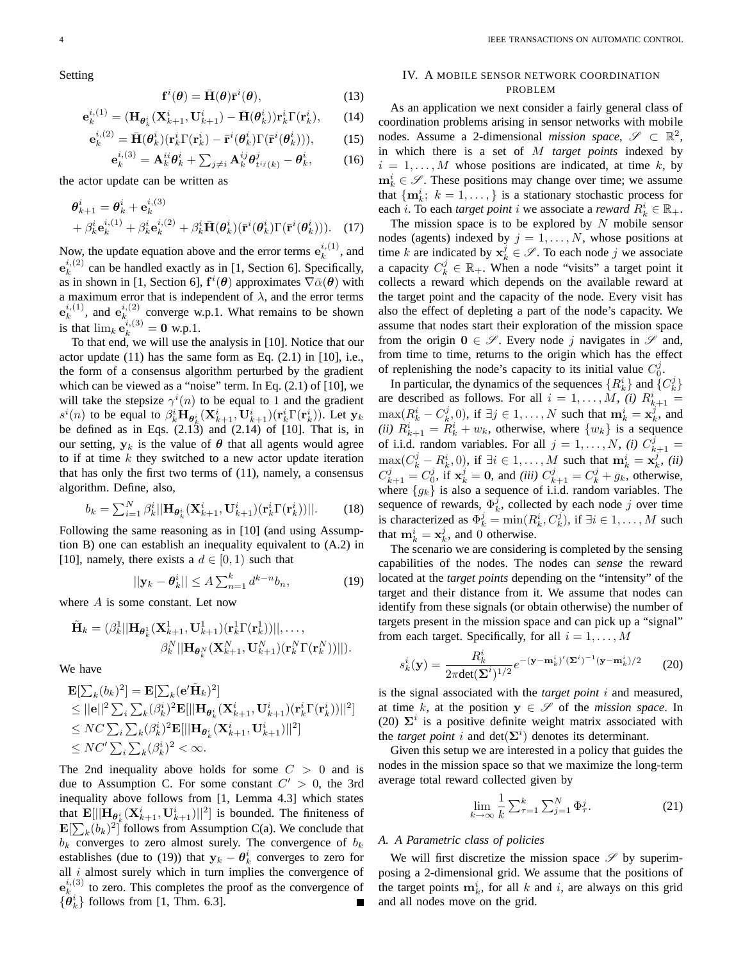Setting

$$
\mathbf{f}^{i}(\boldsymbol{\theta}) = \bar{\mathbf{H}}(\boldsymbol{\theta}) \bar{\mathbf{r}}^{i}(\boldsymbol{\theta}), \qquad (13)
$$

$$
\mathbf{e}_k^{i,(1)} = (\mathbf{H}_{\theta_k^i}(\mathbf{X}_{k+1}^i, \mathbf{U}_{k+1}^i) - \bar{\mathbf{H}}(\theta_k^i)) \mathbf{r}_k^i \Gamma(\mathbf{r}_k^i), \qquad (14)
$$

$$
\mathbf{e}_k^{i,(2)} = \bar{\mathbf{H}}(\boldsymbol{\theta}_k^i)(\mathbf{r}_k^i \Gamma(\mathbf{r}_k^i) - \bar{\mathbf{r}}^i(\boldsymbol{\theta}_k^i) \Gamma(\bar{\mathbf{r}}^i(\boldsymbol{\theta}_k^i))),\qquad(15)
$$

$$
\mathbf{e}_{k}^{i,(3)} = \mathbf{A}_{k}^{ii} \boldsymbol{\theta}_{k}^{i} + \sum_{j \neq i} \mathbf{A}_{k}^{ij} \boldsymbol{\theta}_{t^{ij}(k)}^{j} - \boldsymbol{\theta}_{k}^{i}, \qquad (16)
$$

the actor update can be written as

$$
\theta_{k+1}^{i} = \theta_k^{i} + \mathbf{e}_k^{i,(3)} + \beta_k^{i} \mathbf{e}_k^{i,(1)} + \beta_k^{i} \mathbf{e}_k^{i,(2)} + \beta_k^{i} \bar{\mathbf{H}}(\theta_k^{i}) (\bar{\mathbf{r}}^{i}(\theta_k^{i}) \Gamma(\bar{\mathbf{r}}^{i}(\theta_k^{i}))).
$$
 (17)

Now, the update equation above and the error terms  $\mathbf{e}_k^{i,(1)}$  $\binom{n}{k}$ , and  $\mathbf{e}_k^{i,(2)}$  $k_k^{(k)}$  can be handled exactly as in [1, Section 6]. Specifically, as in shown in [1, Section 6],  $f^{i}(\theta)$  approximates  $\nabla \bar{\alpha}(\theta)$  with a maximum error that is independent of  $\lambda$ , and the error terms  $\mathbf{e}_k^{i,(1)}$  $k^{i,(1)}$ , and  $e_{k}^{i,(2)}$  $(k, (2))$  converge w.p.1. What remains to be shown is that  $\lim_{k} e_k^{i,(3)} = 0$  w.p.1.

To that end, we will use the analysis in [10]. Notice that our actor update  $(11)$  has the same form as Eq.  $(2.1)$  in [10], i.e., the form of a consensus algorithm perturbed by the gradient which can be viewed as a "noise" term. In Eq. (2.1) of [10], we will take the stepsize  $\gamma^{i}(n)$  to be equal to 1 and the gradient  $s^i(n)$  to be equal to  $\beta_k^i \mathbf{H}_{\theta_k^i}(\mathbf{X}_{k+1}^i, \mathbf{U}_{k+1}^i)(\mathbf{r}_k^i \Gamma(\mathbf{r}_k^i))$ . Let  $\mathbf{y}_k$ be defined as in Eqs.  $(2.13)$  and  $(2.14)$  of  $[10]$ . That is, in our setting,  $y_k$  is the value of  $\theta$  that all agents would agree to if at time  $k$  they switched to a new actor update iteration that has only the first two terms of (11), namely, a consensus algorithm. Define, also,

$$
b_k = \sum_{i=1}^{N} \beta_k^i ||\mathbf{H}_{\boldsymbol{\theta}_k^i}(\mathbf{X}_{k+1}^i, \mathbf{U}_{k+1}^i)(\mathbf{r}_k^i \Gamma(\mathbf{r}_k^i))||. \tag{18}
$$

Following the same reasoning as in [10] (and using Assumption B) one can establish an inequality equivalent to (A.2) in [10], namely, there exists a  $d \in [0, 1)$  such that

$$
||\mathbf{y}_k - \boldsymbol{\theta}_k^i|| \le A \sum_{n=1}^k d^{k-n} b_n,
$$
 (19)

where A is some constant. Let now

$$
\tilde{\mathbf{H}}_k = (\beta_k^1 || \mathbf{H}_{\boldsymbol{\theta}_k^1}(\mathbf{X}_{k+1}^1, \mathbf{U}_{k+1}^1)(\mathbf{r}_k^1 \Gamma(\mathbf{r}_k^1) ) ||, \dots, \beta_k^N || \mathbf{H}_{\boldsymbol{\theta}_k^N}(\mathbf{X}_{k+1}^N, \mathbf{U}_{k+1}^N)(\mathbf{r}_k^N \Gamma(\mathbf{r}_k^N)) ||).
$$

We have

 $\overline{\mathbf{l}}$ 

$$
\begin{aligned} &\mathbf{E}[\sum_k (b_k)^2] = \mathbf{E}[\sum_k (\mathbf{e}' \tilde{\mathbf{H}}_k)^2] \\ &\leq ||\mathbf{e}||^2 \sum_i \sum_k (\beta_k^i)^2 \mathbf{E}[||\mathbf{H}_{\theta_k^i}(\mathbf{X}_{k+1}^i, \mathbf{U}_{k+1}^i)(\mathbf{r}_k^i \Gamma(\mathbf{r}_k^i))||^2] \\ &\leq NC \sum_i \sum_k (\beta_k^i)^2 \mathbf{E}[||\mathbf{H}_{\theta_k^i}(\mathbf{X}_{k+1}^i, \mathbf{U}_{k+1}^i)||^2] \\ &\leq NC' \sum_i \sum_k (\beta_k^i)^2 < \infty. \end{aligned}
$$

The 2nd inequality above holds for some  $C > 0$  and is due to Assumption C. For some constant  $C' > 0$ , the 3rd inequality above follows from [1, Lemma 4.3] which states that  $\mathbf{E}[||\mathbf{H}_{\theta_k^i}(\mathbf{X}_{k+1}^i, \mathbf{U}_{k+1}^i)||^2]$  is bounded. The finiteness of  $\mathbf{E}[\sum_{k} (b_k)^2]$  follows from Assumption C(a). We conclude that  $b_k$  converges to zero almost surely. The convergence of  $b_k$ establishes (due to (19)) that  $y_k - \theta_k^i$  converges to zero for all  $i$  almost surely which in turn implies the convergence of  $\mathbf{e}_k^{i,(3)}$  $t_{k}^{i,(3)}$  to zero. This completes the proof as the convergence of  $\{\ddot{\theta}_k^i\}$  follows from [1, Thm. 6.3].

# IV. A MOBILE SENSOR NETWORK COORDINATION PROBLEM

As an application we next consider a fairly general class of coordination problems arising in sensor networks with mobile nodes. Assume a 2-dimensional *mission space*,  $\mathscr{S} \subset \mathbb{R}^2$ , in which there is a set of M *target points* indexed by  $i = 1, \ldots, M$  whose positions are indicated, at time k, by  $m_k^i \in \mathscr{S}$ . These positions may change over time; we assume that  $\{m_k^i; k = 1, \ldots, \}$  is a stationary stochastic process for each *i*. To each *target point i* we associate a *reward*  $R_k^i \in \mathbb{R}_+$ .

The mission space is to be explored by  $N$  mobile sensor nodes (agents) indexed by  $j = 1, \ldots, N$ , whose positions at time k are indicated by  $x_k^j \in \mathcal{S}$ . To each node j we associate a capacity  $C_k^j \in \mathbb{R}_+$ . When a node "visits" a target point it collects a reward which depends on the available reward at the target point and the capacity of the node. Every visit has also the effect of depleting a part of the node's capacity. We assume that nodes start their exploration of the mission space from the origin  $0 \in \mathscr{S}$ . Every node j navigates in  $\mathscr{S}$  and, from time to time, returns to the origin which has the effect of replenishing the node's capacity to its initial value  $C_0^j$ .

In particular, the dynamics of the sequences  $\{R_k^i\}$  and  $\{C_k^j\}$ are described as follows. For all  $i = 1, ..., M$ , *(i)*  $R_{k+1}^{i} =$  $\max(R_k^i - C_k^j, 0)$ , if  $\exists j \in 1, ..., N$  such that  $m_k^i = x_k^j$ , and (*ii*)  $R_{k+1}^i = R_k^i + w_k$ , otherwise, where  $\{w_k\}$  is a sequence of i.i.d. random variables. For all  $j = 1, ..., N$ , *(i)*  $C_{k+1}^{j} =$  $\max(C_k^j - R_k^i, 0)$ , if  $\exists i \in 1, ..., M$  such that  $\mathbf{m}_k^i = \mathbf{x}_k^j$ , *(ii)*  $C_{k+1}^{j} = C_0^{j}$ , if  $\mathbf{x}_k^{j} = \mathbf{0}$ , and *(iii)*  $C_{k+1}^{j} = C_k^{j} + g_k$ , otherwise, where  ${g_k}$  is also a sequence of i.i.d. random variables. The sequence of rewards,  $\Phi_k^j$ , collected by each node j over time is characterized as  $\Phi_k^j = \min(R_k^i, C_k^j)$ , if  $\exists i \in 1, ..., M$  such that  $\mathbf{m}_k^i = \mathbf{x}_k^j$ , and 0 otherwise.

The scenario we are considering is completed by the sensing capabilities of the nodes. The nodes can *sense* the reward located at the *target points* depending on the "intensity" of the target and their distance from it. We assume that nodes can identify from these signals (or obtain otherwise) the number of targets present in the mission space and can pick up a "signal" from each target. Specifically, for all  $i = 1, \ldots, M$ 

$$
s_k^i(\mathbf{y}) = \frac{R_k^i}{2\pi \det(\Sigma^i)^{1/2}} e^{-(\mathbf{y}-\mathbf{m}_k^i)'(\Sigma^i)^{-1}(\mathbf{y}-\mathbf{m}_k^i)/2}
$$
 (20)

is the signal associated with the *target point* i and measured, at time k, at the position  $y \in \mathscr{S}$  of the *mission space*. In (20)  $\Sigma^i$  is a positive definite weight matrix associated with the *target point* i and  $det(\Sigma^i)$  denotes its determinant.

Given this setup we are interested in a policy that guides the nodes in the mission space so that we maximize the long-term average total reward collected given by

$$
\lim_{k \to \infty} \frac{1}{k} \sum_{\tau=1}^{k} \sum_{j=1}^{N} \Phi_{\tau}^{j}.
$$
 (21)

# *A. A Parametric class of policies*

We will first discretize the mission space  $\mathscr S$  by superimposing a 2-dimensional grid. We assume that the positions of the target points  $m_k^i$ , for all k and i, are always on this grid and all nodes move on the grid.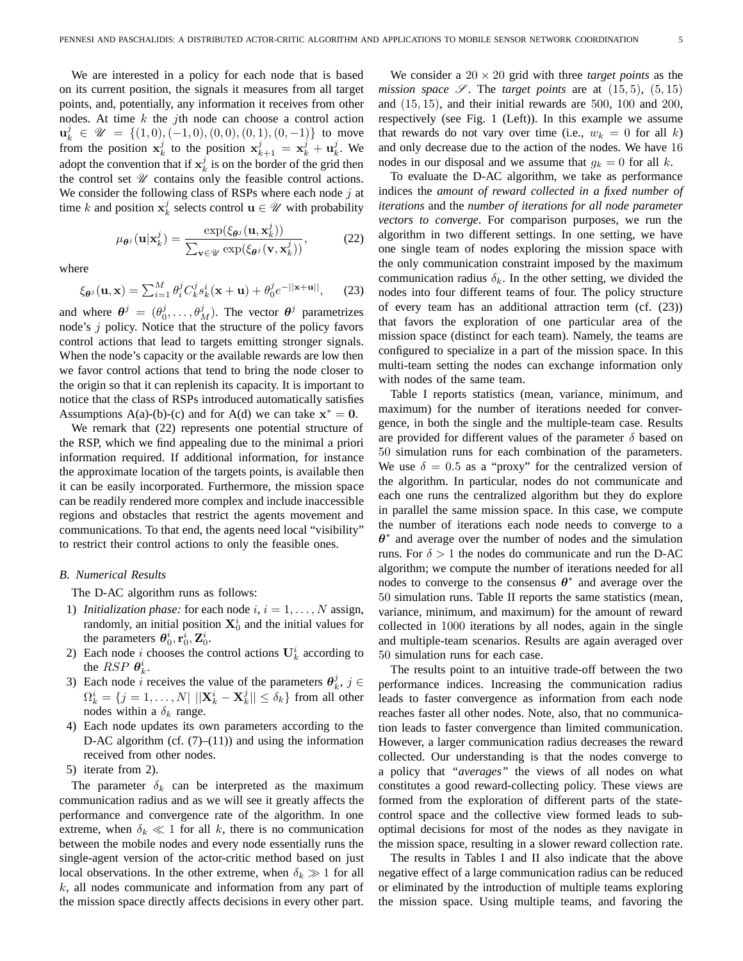We are interested in a policy for each node that is based on its current position, the signals it measures from all target points, and, potentially, any information it receives from other nodes. At time  $k$  the jth node can choose a control action  $\mathbf{u}_k^j \ \in \ \mathscr{U} \ = \ \{(1,0),(-1,0),(0,0),(0,1),(0,-1)\}$  to move from the position  $x_k^j$  to the position  $x_{k+1}^j = x_k^j + u_k^j$ . We adopt the convention that if  $x_k^j$  is on the border of the grid then the control set  $\mathcal U$  contains only the feasible control actions. We consider the following class of RSPs where each node  $j$  at time k and position  $\mathbf{x}_k^j$  selects control  $\mathbf{u} \in \mathcal{U}$  with probability

$$
\mu_{\theta^j}(\mathbf{u}|\mathbf{x}_k^j) = \frac{\exp(\xi_{\theta^j}(\mathbf{u}, \mathbf{x}_k^j))}{\sum_{\mathbf{v}\in\mathcal{U}}\exp(\xi_{\theta^j}(\mathbf{v}, \mathbf{x}_k^j))},\tag{22}
$$

where

$$
\xi_{\theta^j}(\mathbf{u}, \mathbf{x}) = \sum_{i=1}^M \theta_i^j C_k^j s_k^i(\mathbf{x} + \mathbf{u}) + \theta_0^j e^{-||\mathbf{x} + \mathbf{u}||}, \qquad (23)
$$

and where  $\theta^j = (\theta_0^j, \dots, \theta_M^j)$ . The vector  $\theta^j$  parametrizes node's  $j$  policy. Notice that the structure of the policy favors control actions that lead to targets emitting stronger signals. When the node's capacity or the available rewards are low then we favor control actions that tend to bring the node closer to the origin so that it can replenish its capacity. It is important to notice that the class of RSPs introduced automatically satisfies Assumptions A(a)-(b)-(c) and for A(d) we can take  $x^* = 0$ .

We remark that (22) represents one potential structure of the RSP, which we find appealing due to the minimal a priori information required. If additional information, for instance the approximate location of the targets points, is available then it can be easily incorporated. Furthermore, the mission space can be readily rendered more complex and include inaccessible regions and obstacles that restrict the agents movement and communications. To that end, the agents need local "visibility" to restrict their control actions to only the feasible ones.

# *B. Numerical Results*

The D-AC algorithm runs as follows:

- 1) *Initialization phase:* for each node  $i, i = 1, \ldots, N$  assign, randomly, an initial position  $\mathbf{X}_0^i$  and the initial values for the parameters  $\theta_0^i$ ,  $\overline{\mathbf{r}_0^i}$ ,  $\mathbf{Z}_0^i$ .
- 2) Each node *i* chooses the control actions  $U_k^i$  according to the RSP  $\theta_k^i$ .
- 3) Each node *i* receives the value of the parameters  $\theta_k^j$ ,  $j \in$  $\Omega_k^i = \{j = 1, ..., N \mid ||\mathbf{X}_k^i - \mathbf{X}_k^j|| \le \delta_k \}$  from all other nodes within a  $\delta_k$  range.
- 4) Each node updates its own parameters according to the D-AC algorithm (cf.  $(7)$ – $(11)$ ) and using the information received from other nodes.
- 5) iterate from 2).

The parameter  $\delta_k$  can be interpreted as the maximum communication radius and as we will see it greatly affects the performance and convergence rate of the algorithm. In one extreme, when  $\delta_k \ll 1$  for all k, there is no communication between the mobile nodes and every node essentially runs the single-agent version of the actor-critic method based on just local observations. In the other extreme, when  $\delta_k \gg 1$  for all  $k$ , all nodes communicate and information from any part of the mission space directly affects decisions in every other part.

We consider a  $20 \times 20$  grid with three *target points* as the *mission space*  $\mathscr{S}$ . The *target points* are at  $(15, 5)$ ,  $(5, 15)$ and (15, 15), and their initial rewards are 500, 100 and 200, respectively (see Fig. 1 (Left)). In this example we assume that rewards do not vary over time (i.e.,  $w_k = 0$  for all k) and only decrease due to the action of the nodes. We have 16 nodes in our disposal and we assume that  $q_k = 0$  for all k.

To evaluate the D-AC algorithm, we take as performance indices the *amount of reward collected in a fixed number of iterations* and the *number of iterations for all node parameter vectors to converge*. For comparison purposes, we run the algorithm in two different settings. In one setting, we have one single team of nodes exploring the mission space with the only communication constraint imposed by the maximum communication radius  $\delta_k$ . In the other setting, we divided the nodes into four different teams of four. The policy structure of every team has an additional attraction term (cf. (23)) that favors the exploration of one particular area of the mission space (distinct for each team). Namely, the teams are configured to specialize in a part of the mission space. In this multi-team setting the nodes can exchange information only with nodes of the same team.

Table I reports statistics (mean, variance, minimum, and maximum) for the number of iterations needed for convergence, in both the single and the multiple-team case. Results are provided for different values of the parameter  $\delta$  based on 50 simulation runs for each combination of the parameters. We use  $\delta = 0.5$  as a "proxy" for the centralized version of the algorithm. In particular, nodes do not communicate and each one runs the centralized algorithm but they do explore in parallel the same mission space. In this case, we compute the number of iterations each node needs to converge to a  $\theta^*$  and average over the number of nodes and the simulation runs. For  $\delta > 1$  the nodes do communicate and run the D-AC algorithm; we compute the number of iterations needed for all nodes to converge to the consensus  $\theta^*$  and average over the 50 simulation runs. Table II reports the same statistics (mean, variance, minimum, and maximum) for the amount of reward collected in 1000 iterations by all nodes, again in the single and multiple-team scenarios. Results are again averaged over 50 simulation runs for each case.

The results point to an intuitive trade-off between the two performance indices. Increasing the communication radius leads to faster convergence as information from each node reaches faster all other nodes. Note, also, that no communication leads to faster convergence than limited communication. However, a larger communication radius decreases the reward collected. Our understanding is that the nodes converge to a policy that *"averages"* the views of all nodes on what constitutes a good reward-collecting policy. These views are formed from the exploration of different parts of the statecontrol space and the collective view formed leads to suboptimal decisions for most of the nodes as they navigate in the mission space, resulting in a slower reward collection rate.

The results in Tables I and II also indicate that the above negative effect of a large communication radius can be reduced or eliminated by the introduction of multiple teams exploring the mission space. Using multiple teams, and favoring the